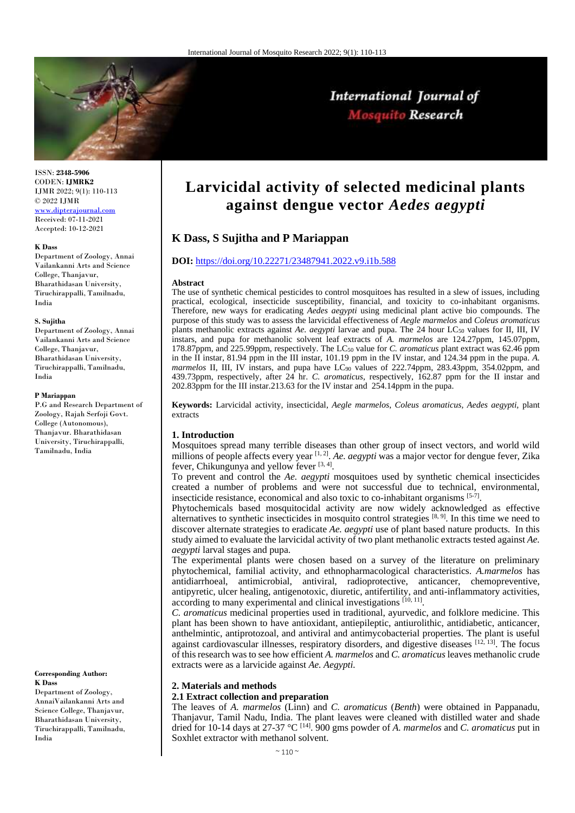

International Journal of Mosquito Research

ISSN: **2348-5906** CODEN: **IJMRK2** IJMR 2022; 9(1): 110-113 © 2022 IJMR

[www.dipterajournal.com](file://server/d/Mosquito/Issue/8%20Volume/www.dipterajournal.com) Received: 07-11-2021 Accepted: 10-12-2021

#### **K Dass**

Department of Zoology, Annai Vailankanni Arts and Science College, Thanjavur, Bharathidasan University, Tiruchirappalli, Tamilnadu, India

#### **S. Sujitha**

Department of Zoology, Annai Vailankanni Arts and Science College, Thanjavur, Bharathidasan University, Tiruchirappalli, Tamilnadu, India

#### **P Mariappan**

P.G and Research Department of Zoology, Rajah Serfoji Govt. College (Autonomous), Thanjavur. Bharathidasan University, Tiruchirappalli, Tamilnadu, India

#### **Corresponding Author: K Dass**

Department of Zoology, AnnaiVailankanni Arts and Science College, Thanjavur, Bharathidasan University, Tiruchirappalli, Tamilnadu, India

# **Larvicidal activity of selected medicinal plants against dengue vector** *Aedes aegypti*

# **K Dass, S Sujitha and P Mariappan**

### **DOI:** <https://doi.org/10.22271/23487941.2022.v9.i1b.588>

#### **Abstract**

The use of synthetic chemical pesticides to control mosquitoes has resulted in a slew of issues, including practical, ecological, insecticide susceptibility, financial, and toxicity to co-inhabitant organisms. Therefore, new ways for eradicating *Aedes aegypti* using medicinal plant active bio compounds. The purpose of this study was to assess the larvicidal effectiveness of *Aegle marmelos* and *Coleus aromaticus* plants methanolic extracts against *Ae. aegypti* larvae and pupa. The 24 hour LC<sup>50</sup> values for II, III, IV instars, and pupa for methanolic solvent leaf extracts of *A. marmelos* are 124.27ppm, 145.07ppm, 178.87ppm, and 225.99ppm, respectively. The LC<sup>50</sup> value for *C. aromaticus* plant extract was 62.46 ppm in the II instar, 81.94 ppm in the III instar, 101.19 ppm in the IV instar, and 124.34 ppm in the pupa. *A.*  marmelos II, III, IV instars, and pupa have LC<sub>90</sub> values of 222.74ppm, 283.43ppm, 354.02ppm, and 439.73ppm, respectively, after 24 hr. *C. aromaticus*, respectively, 162.87 ppm for the II instar and 202.83ppm for the III instar.213.63 for the IV instar and 254.14ppm in the pupa.

**Keywords:** Larvicidal activity, insecticidal, *Aegle marmelos*, *Coleus aromaticus, Aedes aegypti,* plant extracts

#### **1. Introduction**

Mosquitoes spread many terrible diseases than other group of insect vectors, and world wild millions of people affects every year [1, 2] . *Ae. aegypti* was a major vector for dengue fever, Zika fever, Chikungunya and yellow fever [3, 4].

To prevent and control the *Ae. aegypti* mosquitoes used by synthetic chemical insecticides created a number of problems and were not successful due to technical, environmental, insecticide resistance, economical and also toxic to co-inhabitant organisms [5-7] .

Phytochemicals based mosquitocidal activity are now widely acknowledged as effective alternatives to synthetic insecticides in mosquito control strategies  $[8, 9]$ . In this time we need to discover alternate strategies to eradicate *Ae. aegypti* use of plant based nature products. In this study aimed to evaluate the larvicidal activity of two plant methanolic extracts tested against *Ae. aegypti* larval stages and pupa.

The experimental plants were chosen based on a survey of the literature on preliminary phytochemical, familial activity, and ethnopharmacological characteristics. *A.marmelos* has antidiarrhoeal, antimicrobial, antiviral, radioprotective, anticancer, chemopreventive, antipyretic, ulcer healing, antigenotoxic, diuretic, antifertility, and anti-inflammatory activities, according to many experimental and clinical investigations  $[10, 11]$ .

*C. aromaticus* medicinal properties used in traditional, ayurvedic, and folklore medicine. This plant has been shown to have antioxidant, antiepileptic, antiurolithic, antidiabetic, anticancer, anthelmintic, antiprotozoal, and antiviral and antimycobacterial properties. The plant is useful against cardiovascular illnesses, respiratory disorders, and digestive diseases  $[12, 13]$ . The focus of this research was to see how efficient *A. marmelos* and *C. aromaticus* leaves methanolic crude extracts were as a larvicide against *Ae. Aegypti.*

#### **2. Materials and methods**

# **2.1 Extract collection and preparation**

The leaves of *A. marmelos* (Linn) and *C. aromaticus* (*Benth*) were obtained in Pappanadu, Thanjavur, Tamil Nadu, India. The plant leaves were cleaned with distilled water and shade dried for 10-14 days at 27-37 °C [14] . 900 gms powder of *A. marmelos* and *C. aromaticus* put in Soxhlet extractor with methanol solvent.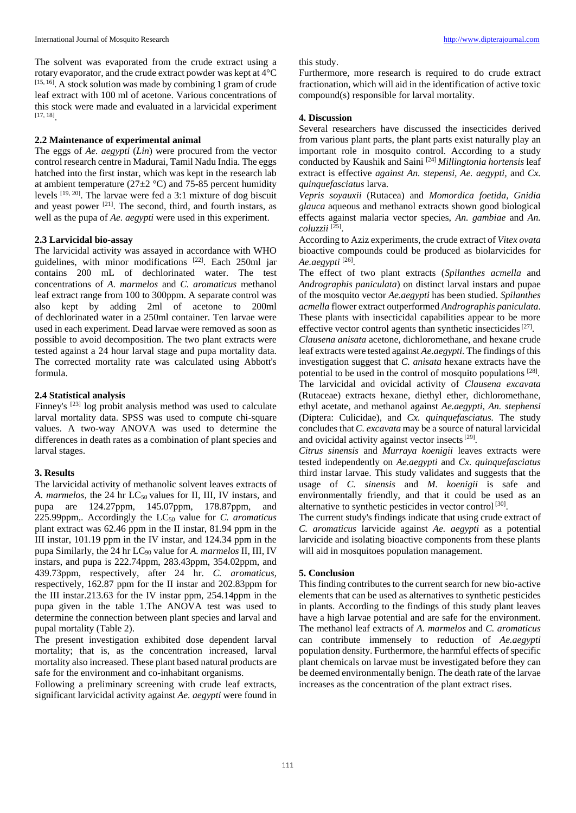The solvent was evaporated from the crude extract using a rotary evaporator, and the crude extract powder was kept at 4°C [15, 16]. A stock solution was made by combining 1 gram of crude leaf extract with 100 ml of acetone. Various concentrations of this stock were made and evaluated in a larvicidal experiment [17, 18] .

# **2.2 Maintenance of experimental animal**

The eggs of *Ae. aegypti* (*Lin*) were procured from the vector control research centre in Madurai, Tamil Nadu India. The eggs hatched into the first instar, which was kept in the research lab at ambient temperature ( $27\pm2$  °C) and 75-85 percent humidity levels [19, 20]. The larvae were fed a 3:1 mixture of dog biscuit and yeast power <sup>[21]</sup>. The second, third, and fourth instars, as well as the pupa of *Ae. aegypti* were used in this experiment.

# **2.3 Larvicidal bio-assay**

The larvicidal activity was assayed in accordance with WHO guidelines, with minor modifications [22] . Each 250ml jar contains 200 mL of dechlorinated water. The test concentrations of *A. marmelos* and *C. aromaticus* methanol leaf extract range from 100 to 300ppm. A separate control was also kept by adding 2ml of acetone to 200ml of dechlorinated water in a 250ml container. Ten larvae were used in each experiment. Dead larvae were removed as soon as possible to avoid decomposition. The two plant extracts were tested against a 24 hour larval stage and pupa mortality data. The corrected mortality rate was calculated using Abbott's formula.

# **2.4 Statistical analysis**

Finney's <sup>[23]</sup> log probit analysis method was used to calculate larval mortality data. SPSS was used to compute chi-square values. A two-way ANOVA was used to determine the differences in death rates as a combination of plant species and larval stages.

# **3. Results**

The larvicidal activity of methanolic solvent leaves extracts of *A. marmelos, the 24 hr LC<sub>50</sub> values for II, III, IV instars, and* pupa are 124.27ppm, 145.07ppm, 178.87ppm, and 225.99ppm,. Accordingly the LC<sub>50</sub> value for *C. aromaticus* plant extract was 62.46 ppm in the II instar, 81.94 ppm in the III instar, 101.19 ppm in the IV instar, and 124.34 ppm in the pupa Similarly, the 24 hr LC<sup>90</sup> value for *A. marmelos* II, III, IV instars, and pupa is 222.74ppm, 283.43ppm, 354.02ppm, and 439.73ppm, respectively, after 24 hr. *C. aromaticus*, respectively, 162.87 ppm for the II instar and 202.83ppm for the III instar.213.63 for the IV instar ppm, 254.14ppm in the pupa given in the table 1.The ANOVA test was used to determine the connection between plant species and larval and pupal mortality (Table 2).

The present investigation exhibited dose dependent larval mortality; that is, as the concentration increased, larval mortality also increased. These plant based natural products are safe for the environment and co-inhabitant organisms.

Following a preliminary screening with crude leaf extracts, significant larvicidal activity against *Ae. aegypti* were found in

## this study.

Furthermore, more research is required to do crude extract fractionation, which will aid in the identification of active toxic compound(s) responsible for larval mortality.

## **4. Discussion**

Several researchers have discussed the insecticides derived from various plant parts, the plant parts exist naturally play an important role in mosquito control. According to a study conducted by Kaushik and Saini [24] *Millingtonia hortensis* leaf extract is effective *against An. stepensi, Ae. aegypti,* and *Cx. quinquefasciatus* larva.

*Vepris soyauxii* (Rutacea) and *Momordica foetida, Gnidia glauca* aqueous and methanol extracts shown good biological effects against malaria vector species, *An. gambiae* and *An. coluzzii* [25] .

According to Aziz experiments, the crude extract of *Vitex ovata* bioactive compounds could be produced as biolarvicides for *Ae.aegypti* [26] .

The effect of two plant extracts (*Spilanthes acmella* and *Andrographis paniculata*) on distinct larval instars and pupae of the mosquito vector *Ae.aegypti* has been studied. *Spilanthes acmella* flower extract outperformed *Andrographis paniculata*. These plants with insecticidal capabilities appear to be more effective vector control agents than synthetic insecticides<sup>[27]</sup>.

*Clausena anisata* acetone, dichloromethane, and hexane crude leaf extracts were tested against *Ae.aegypti.* The findings of this investigation suggest that *C. anisata* hexane extracts have the potential to be used in the control of mosquito populations [28]. The larvicidal and ovicidal activity of *Clausena excavata* (Rutaceae) extracts hexane, diethyl ether, dichloromethane, ethyl acetate, and methanol against *Ae.aegypti*, *An. stephensi* (Diptera: Culicidae), and *Cx. quinquefasciatus.* The study concludes that *C. excavata* may be a source of natural larvicidal and ovicidal activity against vector insects<sup>[29]</sup>.

*Citrus sinensis* and *Murraya koenigii* leaves extracts were tested independently on *Ae.aegypti* and *Cx. quinquefasciatus* third instar larvae. This study validates and suggests that the usage of *C. sinensis* and *M. koenigii* is safe and environmentally friendly, and that it could be used as an alternative to synthetic pesticides in vector control<sup>[30]</sup>.

The current study's findings indicate that using crude extract of *C. aromaticus* larvicide against *Ae. aegypti* as a potential larvicide and isolating bioactive components from these plants will aid in mosquitoes population management.

# **5. Conclusion**

This finding contributes to the current search for new bio-active elements that can be used as alternatives to synthetic pesticides in plants. According to the findings of this study plant leaves have a high larvae potential and are safe for the environment. The methanol leaf extracts of *A. marmelos* and *C. aromaticus* can contribute immensely to reduction of *Ae.aegypti* population density. Furthermore, the harmful effects of specific plant chemicals on larvae must be investigated before they can be deemed environmentally benign. The death rate of the larvae increases as the concentration of the plant extract rises.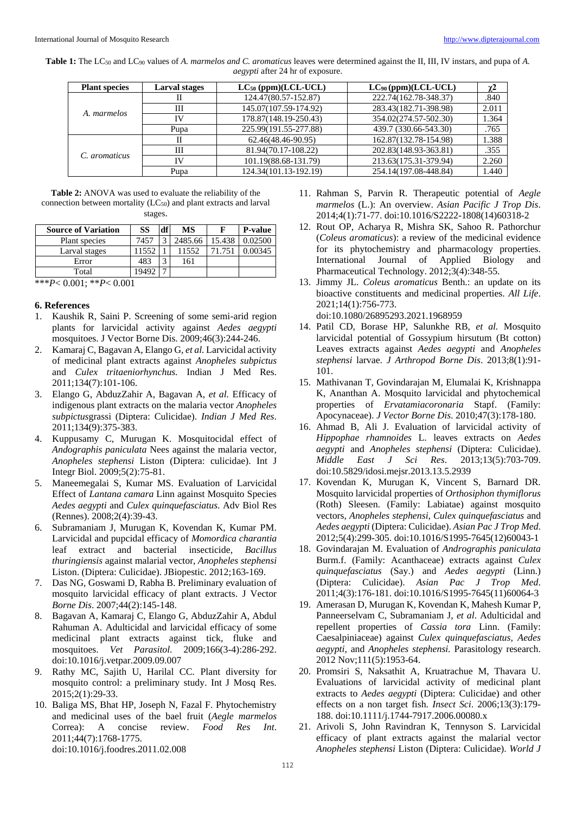| <b>Table 1:</b> The LC <sub>50</sub> and LC <sub>90</sub> values of A. marmelos and C. aromaticus leaves were determined against the II, III, IV instars, and pupa of A. |  |
|--------------------------------------------------------------------------------------------------------------------------------------------------------------------------|--|
| <i>aegypti</i> after 24 hr of exposure.                                                                                                                                  |  |

| <b>Plant species</b> | Larval stages | $LC_{50}$ (ppm)(LCL-UCL) | $LC_{90}$ (ppm)(LCL-UCL) | χ2    |
|----------------------|---------------|--------------------------|--------------------------|-------|
| A. marmelos          | п             | 124.47(80.57-152.87)     | 222.74(162.78-348.37)    | .840  |
|                      | Ш             | 145.07(107.59-174.92)    | 283.43(182.71-398.98)    | 2.011 |
|                      | IV            | 178.87(148.19-250.43)    | 354.02(274.57-502.30)    | 1.364 |
|                      | Pupa          | 225.99(191.55-277.88)    | 439.7 (330.66-543.30)    | .765  |
| C. aromaticus        | Н             | 62.46(48.46-90.95)       | 162.87(132.78-154.98)    | 1.388 |
|                      | Ш             | 81.94(70.17-108.22)      | 202.83(148.93-363.81)    | .355  |
|                      | IV            | 101.19(88.68-131.79)     | 213.63(175.31-379.94)    | 2.260 |
|                      | Pupa          | 124.34(101.13-192.19)    | 254.14(197.08-448.84)    | 1.440 |

**Table 2:** ANOVA was used to evaluate the reliability of the connection between mortality (LC50) and plant extracts and larval stages.

| <b>Source of Variation</b> | SS   | df                | MS      |        | <b>P-value</b> |
|----------------------------|------|-------------------|---------|--------|----------------|
| Plant species              | 7457 | $\mathbf{\Omega}$ | 2485.66 | 15.438 | 0.02500        |
| Larval stages              | 1552 |                   | 11552   |        | 0.00345        |
| Error                      | 483  | 3                 | 161     |        |                |
| Total                      |      | -                 |         |        |                |

\*\*\**P*< 0.001; \*\**P*< 0.001

#### **6. References**

- 1. Kaushik R, Saini P. Screening of some semi-arid region plants for larvicidal activity against *Aedes aegypti* mosquitoes. J Vector Borne Dis. 2009;46(3):244-246.
- 2. Kamaraj C, Bagavan A, Elango G, *et al.* Larvicidal activity of medicinal plant extracts against *Anopheles subpictus*  and *Culex tritaeniorhynchus.* Indian J Med Res. 2011;134(7):101-106.
- 3. Elango G, AbduzZahir A, Bagavan A, *et al.* Efficacy of indigenous plant extracts on the malaria vector *Anopheles subpictus*grassi (Diptera: Culicidae). *Indian J Med Res*. 2011;134(9):375-383.
- 4. Kuppusamy C, Murugan K. Mosquitocidal effect of *Andographis paniculata* Nees against the malaria vector, *Anopheles stephensi* Liston (Diptera: culicidae). Int J Integr Biol. 2009;5(2):75-81.
- 5. Maneemegalai S, Kumar MS. Evaluation of Larvicidal Effect of *Lantana camara* Linn against Mosquito Species *Aedes aegypti* and *Culex quinquefasciatus*. Adv Biol Res (Rennes). 2008;2(4):39-43.
- 6. Subramaniam J, Murugan K, Kovendan K, Kumar PM. Larvicidal and pupcidal efficacy of *Momordica charantia* leaf extract and bacterial insecticide, *Bacillus thuringiensis* against malarial vector, *Anopheles stephensi* Liston. (Diptera: Culicidae). JBiopestic. 2012;163-169.
- 7. Das NG, Goswami D, Rabha B. Preliminary evaluation of mosquito larvicidal efficacy of plant extracts. J Vector *Borne Dis*. 2007;44(2):145-148.
- 8. Bagavan A, Kamaraj C, Elango G, AbduzZahir A, Abdul Rahuman A. Adulticidal and larvicidal efficacy of some medicinal plant extracts against tick, fluke and mosquitoes. *Vet Parasitol*. 2009;166(3-4):286-292. doi:10.1016/j.vetpar.2009.09.007
- 9. Rathy MC, Sajith U, Harilal CC. Plant diversity for mosquito control: a preliminary study. Int J Mosq Res. 2015;2(1):29-33.
- 10. Baliga MS, Bhat HP, Joseph N, Fazal F. Phytochemistry and medicinal uses of the bael fruit (*Aegle marmelos*  Correa): A concise review. *Food Res Int*. 2011;44(7):1768-1775. doi:10.1016/j.foodres.2011.02.008
- 11. Rahman S, Parvin R. Therapeutic potential of *Aegle marmelos* (L.): An overview. *Asian Pacific J Trop Dis*. 2014;4(1):71-77. doi:10.1016/S2222-1808(14)60318-2
- 12. Rout OP, Acharya R, Mishra SK, Sahoo R. Pathorchur (*Coleus aromaticus*): a review of the medicinal evidence for its phytochemistry and pharmacology properties. International Journal of Applied Biology and Pharmaceutical Technology. 2012;3(4):348-55.
- 13. Jimmy JL. *Coleus aromaticus* Benth.: an update on its bioactive constituents and medicinal properties. *All Life*. 2021;14(1):756-773. doi:10.1080/26895293.2021.1968959
- 14. Patil CD, Borase HP, Salunkhe RB, *et al.* Mosquito larvicidal potential of Gossypium hirsutum (Bt cotton) Leaves extracts against *Aedes aegypti* and *Anopheles stephensi* larvae. *J Arthropod Borne Dis*. 2013;8(1):91- 101.
- 15. Mathivanan T, Govindarajan M, Elumalai K, Krishnappa K, Ananthan A. Mosquito larvicidal and phytochemical properties of *Ervatamiacoronaria* Stapf. (Family: Apocynaceae). *J Vector Borne Dis*. 2010;47(3):178-180.
- 16. Ahmad B, Ali J. Evaluation of larvicidal activity of *Hippophae rhamnoides* L. leaves extracts on *Aedes aegypti* and *Anopheles stephensi* (Diptera: Culicidae). *Middle East J Sci Res*. 2013;13(5):703-709. doi:10.5829/idosi.mejsr.2013.13.5.2939
- 17. Kovendan K, Murugan K, Vincent S, Barnard DR. Mosquito larvicidal properties of *Orthosiphon thymiflorus* (Roth) Sleesen. (Family: Labiatae) against mosquito vectors, *Anopheles stephensi*, *Culex quinquefasciatus* and *Aedes aegypti* (Diptera: Culicidae). *Asian Pac J Trop Med*. 2012;5(4):299-305. doi:10.1016/S1995-7645(12)60043-1
- 18. Govindarajan M. Evaluation of *Andrographis paniculata* Burm.f. (Family: Acanthaceae) extracts against *Culex quinquefasciatus* (Say.) and *Aedes aegypti* (Linn.) (Diptera: Culicidae). *Asian Pac J Trop Med*. 2011;4(3):176-181. doi:10.1016/S1995-7645(11)60064-3
- 19. Amerasan D, Murugan K, Kovendan K, Mahesh Kumar P, Panneerselvam C, Subramaniam J, *et al*. Adulticidal and repellent properties of *Cassia tora* Linn. (Family: Caesalpiniaceae) against *Culex quinquefasciatus, Aedes aegypti,* and *Anopheles stephensi.* Parasitology research. 2012 Nov;111(5):1953-64.
- 20. Promsiri S, Naksathit A, Kruatrachue M, Thavara U. Evaluations of larvicidal activity of medicinal plant extracts to *Aedes aegypti* (Diptera: Culicidae) and other effects on a non target fish. *Insect Sci*. 2006;13(3):179- 188. doi:10.1111/j.1744-7917.2006.00080.x
- 21. Arivoli S, John Ravindran K, Tennyson S. Larvicidal efficacy of plant extracts against the malarial vector *Anopheles stephensi* Liston (Diptera: Culicidae). *World J*